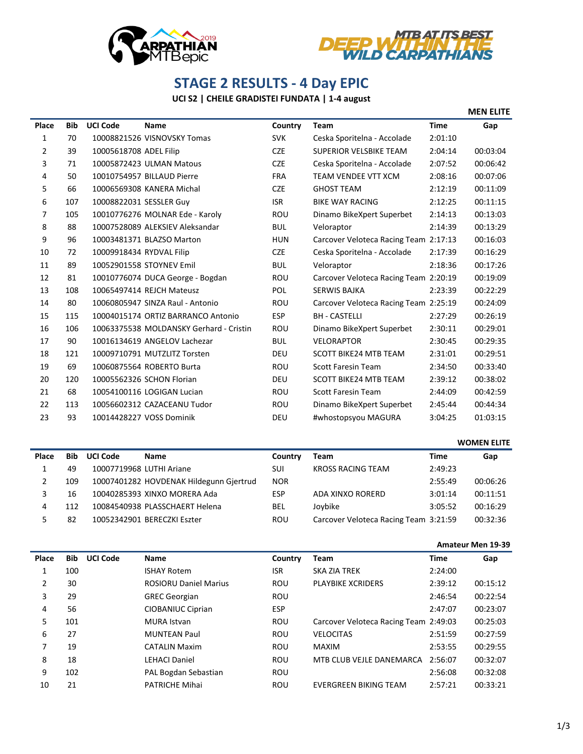



## **STAGE 2 RESULTS - 4 Day EPIC**

## **UCI S2 | CHEILE GRADISTEI FUNDATA | 1-4 august**

|       |            |                          |                                         |            |                                       |             | <b>MEN ELITE</b> |
|-------|------------|--------------------------|-----------------------------------------|------------|---------------------------------------|-------------|------------------|
| Place | <b>Bib</b> | <b>UCI Code</b>          | Name                                    | Country    | <b>Team</b>                           | <b>Time</b> | Gap              |
| 1     | 70         |                          | 10008821526 VISNOVSKY Tomas             | <b>SVK</b> | Ceska Sporitelna - Accolade           | 2:01:10     |                  |
| 2     | 39         | 10005618708 ADEL Filip   |                                         | <b>CZE</b> | <b>SUPERIOR VELSBIKE TEAM</b>         | 2:04:14     | 00:03:04         |
| 3     | 71         |                          | 10005872423 ULMAN Matous                | <b>CZE</b> | Ceska Sporitelna - Accolade           | 2:07:52     | 00:06:42         |
| 4     | 50         |                          | 10010754957 BILLAUD Pierre              | <b>FRA</b> | <b>TEAM VENDEE VTT XCM</b>            | 2:08:16     | 00:07:06         |
| 5     | 66         |                          | 10006569308 KANERA Michal               | <b>CZE</b> | <b>GHOST TEAM</b>                     | 2:12:19     | 00:11:09         |
| 6     | 107        | 10008822031 SESSLER Guy  |                                         | <b>ISR</b> | <b>BIKE WAY RACING</b>                | 2:12:25     | 00:11:15         |
| 7     | 105        |                          | 10010776276 MOLNAR Ede - Karoly         | <b>ROU</b> | Dinamo BikeXpert Superbet             | 2:14:13     | 00:13:03         |
| 8     | 88         |                          | 10007528089 ALEKSIEV Aleksandar         | <b>BUL</b> | Veloraptor                            | 2:14:39     | 00:13:29         |
| 9     | 96         |                          | 10003481371 BLAZSO Marton               | <b>HUN</b> | Carcover Veloteca Racing Team 2:17:13 |             | 00:16:03         |
| 10    | 72         | 10009918434 RYDVAL Filip |                                         | <b>CZE</b> | Ceska Sporitelna - Accolade           | 2:17:39     | 00:16:29         |
| 11    | 89         |                          | 10052901558 STOYNEV Emil                | <b>BUL</b> | Veloraptor                            | 2:18:36     | 00:17:26         |
| 12    | 81         |                          | 10010776074 DUCA George - Bogdan        | <b>ROU</b> | Carcover Veloteca Racing Team 2:20:19 |             | 00:19:09         |
| 13    | 108        |                          | 10065497414 REJCH Mateusz               | <b>POL</b> | <b>SERWIS BAJKA</b>                   | 2:23:39     | 00:22:29         |
| 14    | 80         |                          | 10060805947 SINZA Raul - Antonio        | <b>ROU</b> | Carcover Veloteca Racing Team 2:25:19 |             | 00:24:09         |
| 15    | 115        |                          | 10004015174 ORTIZ BARRANCO Antonio      | <b>ESP</b> | <b>BH - CASTELLI</b>                  | 2:27:29     | 00:26:19         |
| 16    | 106        |                          | 10063375538 MOLDANSKY Gerhard - Cristin | <b>ROU</b> | Dinamo BikeXpert Superbet             | 2:30:11     | 00:29:01         |
| 17    | 90         |                          | 10016134619 ANGELOV Lachezar            | <b>BUL</b> | <b>VELORAPTOR</b>                     | 2:30:45     | 00:29:35         |
| 18    | 121        |                          | 10009710791 MUTZLITZ Torsten            | <b>DEU</b> | <b>SCOTT BIKE24 MTB TEAM</b>          | 2:31:01     | 00:29:51         |
| 19    | 69         |                          | 10060875564 ROBERTO Burta               | <b>ROU</b> | <b>Scott Faresin Team</b>             | 2:34:50     | 00:33:40         |
| 20    | 120        |                          | 10005562326 SCHON Florian               | <b>DEU</b> | <b>SCOTT BIKE24 MTB TEAM</b>          | 2:39:12     | 00:38:02         |
| 21    | 68         |                          | 10054100116 LOGIGAN Lucian              | <b>ROU</b> | <b>Scott Faresin Team</b>             | 2:44:09     | 00:42:59         |
| 22    | 113        |                          | 10056602312 CAZACEANU Tudor             | <b>ROU</b> | Dinamo BikeXpert Superbet             | 2:45:44     | 00:44:34         |
| 23    | 93         |                          | 10014428227 VOSS Dominik                | <b>DEU</b> | #whostopsyou MAGURA                   | 3:04:25     | 01:03:15         |

|       |     |                          |                                         |            |                                       | <b>WOMEN ELITE</b> |          |
|-------|-----|--------------------------|-----------------------------------------|------------|---------------------------------------|--------------------|----------|
| Place | Bib | <b>UCI Code</b>          | <b>Name</b>                             | Country    | Team                                  | Time               | Gap      |
|       | 49  | 10007719968 LUTHI Ariane |                                         | SUI        | <b>KROSS RACING TEAM</b>              | 2:49:23            |          |
|       | 109 |                          | 10007401282 HOVDENAK Hildegunn Gjertrud | <b>NOR</b> |                                       | 2:55:49            | 00:06:26 |
|       | 16  |                          | 10040285393 XINXO MORERA Ada            | <b>ESP</b> | ADA XINXO RORERD                      | 3:01:14            | 00:11:51 |
|       | 112 |                          | 10084540938 PLASSCHAERT Helena          | <b>BEL</b> | Joybike                               | 3:05:52            | 00:16:29 |
|       | 82  |                          | 10052342901 BERECZKI Eszter             | ROU        | Carcover Veloteca Racing Team 3:21:59 |                    | 00:32:36 |

## **Amateur Men 19-39**

| Place | <b>Bib</b> | <b>UCI Code</b> | Name                         | Country    | <b>Team</b>                           | Time    | Gap      |
|-------|------------|-----------------|------------------------------|------------|---------------------------------------|---------|----------|
|       | 100        |                 | <b>ISHAY Rotem</b>           | <b>ISR</b> | <b>SKA ZIA TREK</b>                   | 2:24:00 |          |
| 2     | 30         |                 | <b>ROSIORU Daniel Marius</b> | <b>ROU</b> | <b>PLAYBIKE XCRIDERS</b>              | 2:39:12 | 00:15:12 |
| 3     | 29         |                 | <b>GREC Georgian</b>         | <b>ROU</b> |                                       | 2:46:54 | 00:22:54 |
| 4     | 56         |                 | CIOBANIUC Ciprian            | <b>ESP</b> |                                       | 2:47:07 | 00:23:07 |
| 5     | 101        |                 | MURA Istvan                  | <b>ROU</b> | Carcover Veloteca Racing Team 2:49:03 |         | 00:25:03 |
| 6     | 27         |                 | <b>MUNTEAN Paul</b>          | <b>ROU</b> | <b>VELOCITAS</b>                      | 2:51:59 | 00:27:59 |
| 7     | 19         |                 | <b>CATALIN Maxim</b>         | <b>ROU</b> | <b>MAXIM</b>                          | 2:53:55 | 00:29:55 |
| 8     | 18         |                 | <b>LEHACI Daniel</b>         | <b>ROU</b> | MTB CLUB VEJLE DANEMARCA              | 2:56:07 | 00:32:07 |
| 9     | 102        |                 | PAL Bogdan Sebastian         | <b>ROU</b> |                                       | 2:56:08 | 00:32:08 |
| 10    | 21         |                 | <b>PATRICHE Mihai</b>        | ROU        | EVERGREEN BIKING TEAM                 | 2:57:21 | 00:33:21 |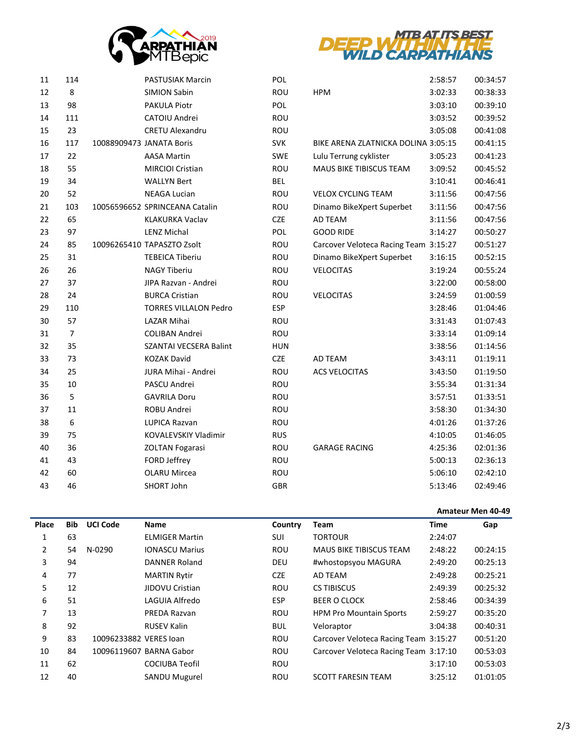



| 11 | 114            | <b>PASTUSIAK Marcin</b>        | <b>POL</b> |                                       | 2:58:57 | 00:34:57 |
|----|----------------|--------------------------------|------------|---------------------------------------|---------|----------|
| 12 | 8              | <b>SIMION Sabin</b>            | ROU        | <b>HPM</b>                            | 3:02:33 | 00:38:33 |
| 13 | 98             | <b>PAKULA Piotr</b>            | POL        |                                       | 3:03:10 | 00:39:10 |
| 14 | 111            | CATOIU Andrei                  | <b>ROU</b> |                                       | 3:03:52 | 00:39:52 |
| 15 | 23             | <b>CRETU Alexandru</b>         | <b>ROU</b> |                                       | 3:05:08 | 00:41:08 |
| 16 | 117            | 10088909473 JANATA Boris       | <b>SVK</b> | BIKE ARENA ZLATNICKA DOLINA 3:05:15   |         | 00:41:15 |
| 17 | 22             | <b>AASA Martin</b>             | <b>SWE</b> | Lulu Terrung cyklister                | 3:05:23 | 00:41:23 |
| 18 | 55             | MIRCIOI Cristian               | ROU        | MAUS BIKE TIBISCUS TEAM               | 3:09:52 | 00:45:52 |
| 19 | 34             | <b>WALLYN Bert</b>             | <b>BEL</b> |                                       | 3:10:41 | 00:46:41 |
| 20 | 52             | <b>NEAGA Lucian</b>            | <b>ROU</b> | <b>VELOX CYCLING TEAM</b>             | 3:11:56 | 00:47:56 |
| 21 | 103            | 10056596652 SPRINCEANA Catalin | ROU        | Dinamo BikeXpert Superbet             | 3:11:56 | 00:47:56 |
| 22 | 65             | <b>KLAKURKA Vaclav</b>         | <b>CZE</b> | AD TEAM                               | 3:11:56 | 00:47:56 |
| 23 | 97             | <b>LENZ Michal</b>             | POL        | <b>GOOD RIDE</b>                      | 3:14:27 | 00:50:27 |
| 24 | 85             | 10096265410 TAPASZTO Zsolt     | <b>ROU</b> | Carcover Veloteca Racing Team 3:15:27 |         | 00:51:27 |
| 25 | 31             | <b>TEBEICA Tiberiu</b>         | <b>ROU</b> | Dinamo BikeXpert Superbet             | 3:16:15 | 00:52:15 |
| 26 | 26             | <b>NAGY Tiberiu</b>            | ROU        | <b>VELOCITAS</b>                      | 3:19:24 | 00:55:24 |
| 27 | 37             | JIPA Razvan - Andrei           | ROU        |                                       | 3:22:00 | 00:58:00 |
| 28 | 24             | <b>BURCA Cristian</b>          | ROU        | <b>VELOCITAS</b>                      | 3:24:59 | 01:00:59 |
| 29 | 110            | <b>TORRES VILLALON Pedro</b>   | <b>ESP</b> |                                       | 3:28:46 | 01:04:46 |
| 30 | 57             | LAZAR Mihai                    | ROU        |                                       | 3:31:43 | 01:07:43 |
| 31 | $\overline{7}$ | <b>COLIBAN Andrei</b>          | <b>ROU</b> |                                       | 3:33:14 | 01:09:14 |
| 32 | 35             | <b>SZANTAI VECSERA Balint</b>  | <b>HUN</b> |                                       | 3:38:56 | 01:14:56 |
| 33 | 73             | <b>KOZAK David</b>             | <b>CZE</b> | AD TEAM                               | 3:43:11 | 01:19:11 |
| 34 | 25             | JURA Mihai - Andrei            | ROU        | <b>ACS VELOCITAS</b>                  | 3:43:50 | 01:19:50 |
| 35 | 10             | PASCU Andrei                   | ROU        |                                       | 3:55:34 | 01:31:34 |
| 36 | 5              | <b>GAVRILA Doru</b>            | ROU        |                                       | 3:57:51 | 01:33:51 |
| 37 | 11             | ROBU Andrei                    | ROU        |                                       | 3:58:30 | 01:34:30 |
| 38 | 6              | LUPICA Razvan                  | ROU        |                                       | 4:01:26 | 01:37:26 |
| 39 | 75             | <b>KOVALEVSKIY Vladimir</b>    | <b>RUS</b> |                                       | 4:10:05 | 01:46:05 |
| 40 | 36             | <b>ZOLTAN Fogarasi</b>         | ROU        | <b>GARAGE RACING</b>                  | 4:25:36 | 02:01:36 |
| 41 | 43             | FORD Jeffrey                   | ROU        |                                       | 5:00:13 | 02:36:13 |
| 42 | 60             | <b>OLARU Mircea</b>            | <b>ROU</b> |                                       | 5:06:10 | 02:42:10 |
| 43 | 46             | SHORT John                     | <b>GBR</b> |                                       | 5:13:46 | 02:49:46 |

## **Amateur Men 40-49**

| Place | <b>Bib</b> | <b>UCI Code</b>        | <b>Name</b>             | Country    | <b>Team</b>                           | <b>Time</b> | Gap      |
|-------|------------|------------------------|-------------------------|------------|---------------------------------------|-------------|----------|
|       | 63         |                        | <b>ELMIGER Martin</b>   | SUI        | <b>TORTOUR</b>                        | 2:24:07     |          |
| 2     | 54         | $N-0290$               | <b>IONASCU Marius</b>   | <b>ROU</b> | <b>MAUS BIKE TIBISCUS TEAM</b>        | 2:48:22     | 00:24:15 |
| 3     | 94         |                        | DANNER Roland           | DEU        | #whostopsyou MAGURA                   | 2:49:20     | 00:25:13 |
| 4     | 77         |                        | <b>MARTIN Rytir</b>     | <b>CZE</b> | AD TEAM                               | 2:49:28     | 00:25:21 |
| 5     | 12         |                        | JIDOVU Cristian         | <b>ROU</b> | <b>CS TIBISCUS</b>                    | 2:49:39     | 00:25:32 |
| 6     | 51         |                        | LAGUIA Alfredo          | <b>ESP</b> | <b>BEER O CLOCK</b>                   | 2:58:46     | 00:34:39 |
| 7     | 13         |                        | PREDA Razvan            | <b>ROU</b> | <b>HPM Pro Mountain Sports</b>        | 2:59:27     | 00:35:20 |
| 8     | 92         |                        | <b>RUSEV Kalin</b>      | <b>BUL</b> | Veloraptor                            | 3:04:38     | 00:40:31 |
| 9     | 83         | 10096233882 VERES Joan |                         | <b>ROU</b> | Carcover Veloteca Racing Team 3:15:27 |             | 00:51:20 |
| 10    | 84         |                        | 10096119607 BARNA Gabor | <b>ROU</b> | Carcover Veloteca Racing Team 3:17:10 |             | 00:53:03 |
| 11    | 62         |                        | <b>COCIUBA Teofil</b>   | <b>ROU</b> |                                       | 3:17:10     | 00:53:03 |
| 12    | 40         |                        | <b>SANDU Mugurel</b>    | ROU        | <b>SCOTT FARESIN TEAM</b>             | 3:25:12     | 01:01:05 |